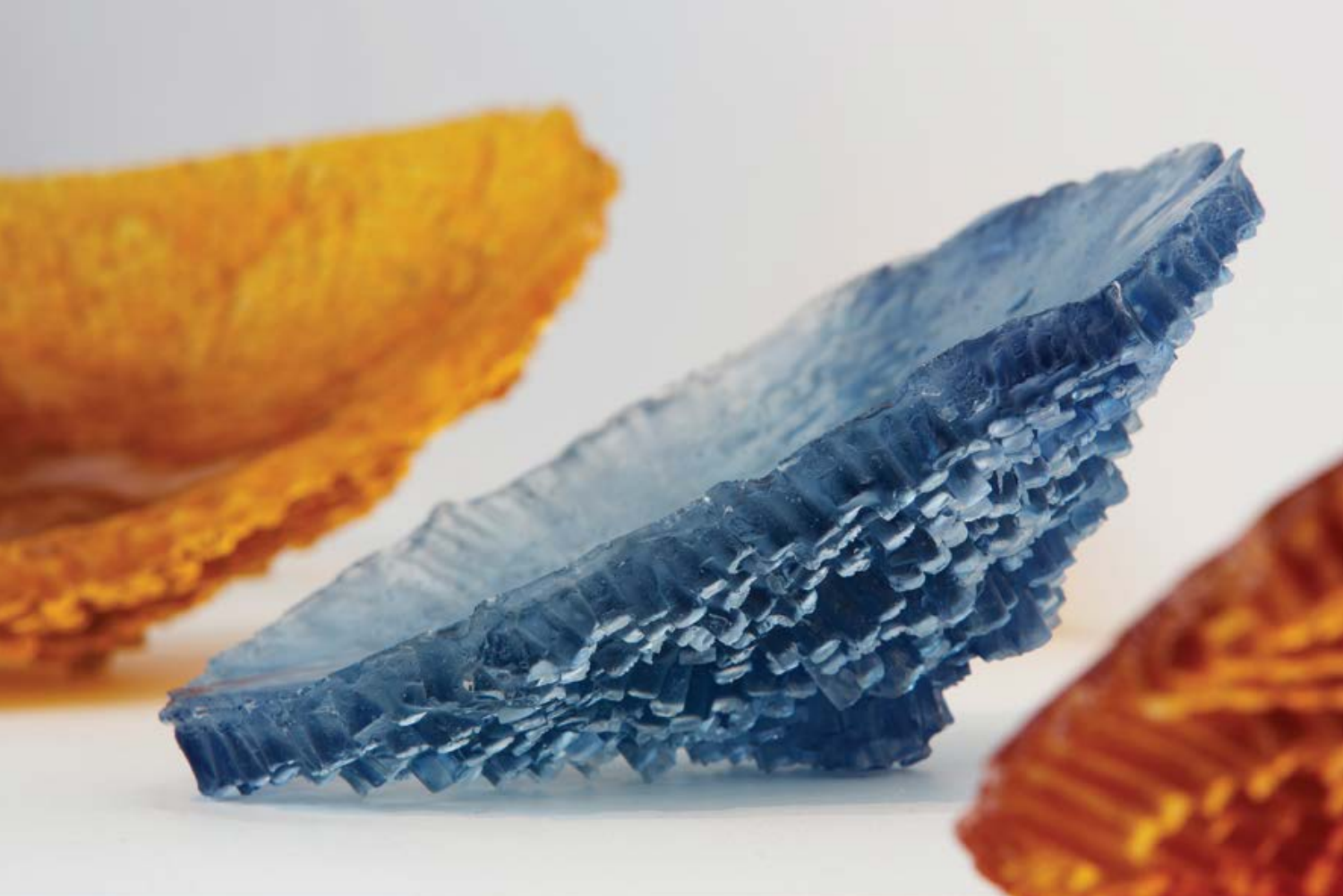